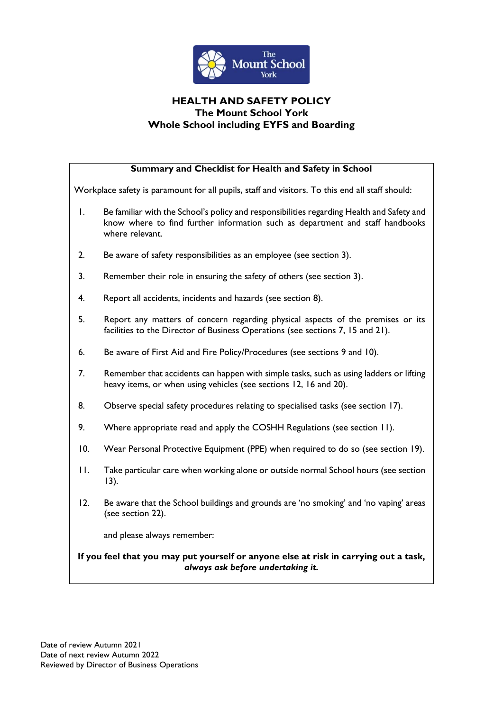

# **HEALTH AND SAFETY POLICY The Mount School York Whole School including EYFS and Boarding**

| Summary and Checklist for Health and Safety in School                                                                     |                                                                                                                                                                                               |
|---------------------------------------------------------------------------------------------------------------------------|-----------------------------------------------------------------------------------------------------------------------------------------------------------------------------------------------|
| Workplace safety is paramount for all pupils, staff and visitors. To this end all staff should:                           |                                                                                                                                                                                               |
| Ι.                                                                                                                        | Be familiar with the School's policy and responsibilities regarding Health and Safety and<br>know where to find further information such as department and staff handbooks<br>where relevant. |
| 2.                                                                                                                        | Be aware of safety responsibilities as an employee (see section 3).                                                                                                                           |
| 3.                                                                                                                        | Remember their role in ensuring the safety of others (see section 3).                                                                                                                         |
| 4.                                                                                                                        | Report all accidents, incidents and hazards (see section 8).                                                                                                                                  |
| 5.                                                                                                                        | Report any matters of concern regarding physical aspects of the premises or its<br>facilities to the Director of Business Operations (see sections 7, 15 and 21).                             |
| 6.                                                                                                                        | Be aware of First Aid and Fire Policy/Procedures (see sections 9 and 10).                                                                                                                     |
| 7.                                                                                                                        | Remember that accidents can happen with simple tasks, such as using ladders or lifting<br>heavy items, or when using vehicles (see sections 12, 16 and 20).                                   |
| 8.                                                                                                                        | Observe special safety procedures relating to specialised tasks (see section 17).                                                                                                             |
| 9.                                                                                                                        | Where appropriate read and apply the COSHH Regulations (see section 11).                                                                                                                      |
| 10.                                                                                                                       | Wear Personal Protective Equipment (PPE) when required to do so (see section 19).                                                                                                             |
| $\mathbf{H}$ .                                                                                                            | Take particular care when working alone or outside normal School hours (see section<br>13).                                                                                                   |
| 12.                                                                                                                       | Be aware that the School buildings and grounds are 'no smoking' and 'no vaping' areas<br>(see section 22).                                                                                    |
|                                                                                                                           | and please always remember:                                                                                                                                                                   |
| If you feel that you may put yourself or anyone else at risk in carrying out a task,<br>always ask before undertaking it. |                                                                                                                                                                                               |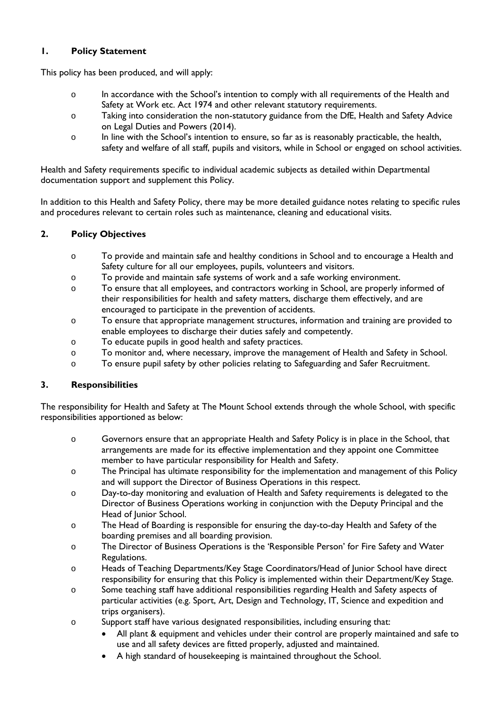### **1. Policy Statement**

This policy has been produced, and will apply:

- o In accordance with the School's intention to comply with all requirements of the Health and Safety at Work etc. Act 1974 and other relevant statutory requirements.
- o Taking into consideration the non-statutory guidance from the DfE, Health and Safety Advice on Legal Duties and Powers (2014).
- o In line with the School's intention to ensure, so far as is reasonably practicable, the health, safety and welfare of all staff, pupils and visitors, while in School or engaged on school activities.

Health and Safety requirements specific to individual academic subjects as detailed within Departmental documentation support and supplement this Policy.

In addition to this Health and Safety Policy, there may be more detailed guidance notes relating to specific rules and procedures relevant to certain roles such as maintenance, cleaning and educational visits.

### **2. Policy Objectives**

- o To provide and maintain safe and healthy conditions in School and to encourage a Health and Safety culture for all our employees, pupils, volunteers and visitors.
- o To provide and maintain safe systems of work and a safe working environment.
- o To ensure that all employees, and contractors working in School, are properly informed of their responsibilities for health and safety matters, discharge them effectively, and are encouraged to participate in the prevention of accidents.
- o To ensure that appropriate management structures, information and training are provided to enable employees to discharge their duties safely and competently.
- o To educate pupils in good health and safety practices.
- o To monitor and, where necessary, improve the management of Health and Safety in School.
- o To ensure pupil safety by other policies relating to Safeguarding and Safer Recruitment.

### **3. Responsibilities**

The responsibility for Health and Safety at The Mount School extends through the whole School, with specific responsibilities apportioned as below:

- o Governors ensure that an appropriate Health and Safety Policy is in place in the School, that arrangements are made for its effective implementation and they appoint one Committee member to have particular responsibility for Health and Safety.
- o The Principal has ultimate responsibility for the implementation and management of this Policy and will support the Director of Business Operations in this respect.
- o Day-to-day monitoring and evaluation of Health and Safety requirements is delegated to the Director of Business Operations working in conjunction with the Deputy Principal and the Head of Junior School.
- o The Head of Boarding is responsible for ensuring the day-to-day Health and Safety of the boarding premises and all boarding provision.
- o The Director of Business Operations is the 'Responsible Person' for Fire Safety and Water Regulations.
- o Heads of Teaching Departments/Key Stage Coordinators/Head of Junior School have direct responsibility for ensuring that this Policy is implemented within their Department/Key Stage.
- o Some teaching staff have additional responsibilities regarding Health and Safety aspects of particular activities (e.g. Sport, Art, Design and Technology, IT, Science and expedition and trips organisers).
- o Support staff have various designated responsibilities, including ensuring that:
	- All plant & equipment and vehicles under their control are properly maintained and safe to use and all safety devices are fitted properly, adjusted and maintained.
	- A high standard of housekeeping is maintained throughout the School.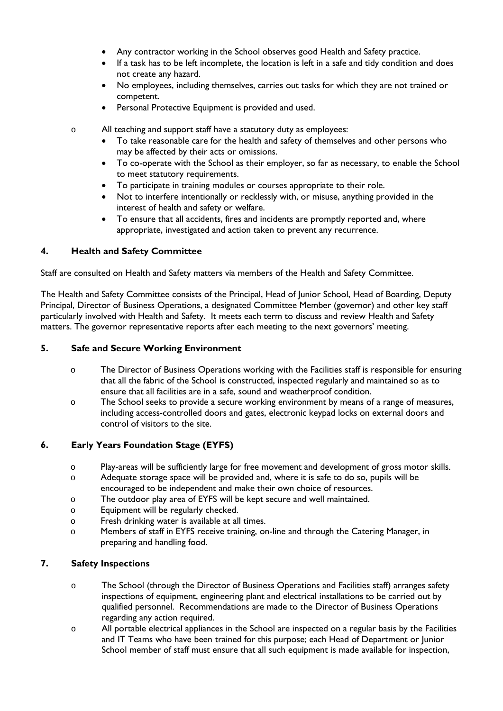- Any contractor working in the School observes good Health and Safety practice.
- If a task has to be left incomplete, the location is left in a safe and tidy condition and does not create any hazard.
- No employees, including themselves, carries out tasks for which they are not trained or competent.
- Personal Protective Equipment is provided and used.
- o All teaching and support staff have a statutory duty as employees:
	- To take reasonable care for the health and safety of themselves and other persons who may be affected by their acts or omissions.
	- To co-operate with the School as their employer, so far as necessary, to enable the School to meet statutory requirements.
	- To participate in training modules or courses appropriate to their role.
	- Not to interfere intentionally or recklessly with, or misuse, anything provided in the interest of health and safety or welfare.
	- To ensure that all accidents, fires and incidents are promptly reported and, where appropriate, investigated and action taken to prevent any recurrence.

### **4. Health and Safety Committee**

Staff are consulted on Health and Safety matters via members of the Health and Safety Committee.

The Health and Safety Committee consists of the Principal, Head of Junior School, Head of Boarding, Deputy Principal, Director of Business Operations, a designated Committee Member (governor) and other key staff particularly involved with Health and Safety. It meets each term to discuss and review Health and Safety matters. The governor representative reports after each meeting to the next governors' meeting.

### **5. Safe and Secure Working Environment**

- o The Director of Business Operations working with the Facilities staff is responsible for ensuring that all the fabric of the School is constructed, inspected regularly and maintained so as to ensure that all facilities are in a safe, sound and weatherproof condition.
- o The School seeks to provide a secure working environment by means of a range of measures, including access-controlled doors and gates, electronic keypad locks on external doors and control of visitors to the site.

### **6. Early Years Foundation Stage (EYFS)**

- o Play-areas will be sufficiently large for free movement and development of gross motor skills.
- o Adequate storage space will be provided and, where it is safe to do so, pupils will be encouraged to be independent and make their own choice of resources.
- o The outdoor play area of EYFS will be kept secure and well maintained.
- o Equipment will be regularly checked.
- o Fresh drinking water is available at all times.
- o Members of staff in EYFS receive training, on-line and through the Catering Manager, in preparing and handling food.

### **7. Safety Inspections**

- o The School (through the Director of Business Operations and Facilities staff) arranges safety inspections of equipment, engineering plant and electrical installations to be carried out by qualified personnel. Recommendations are made to the Director of Business Operations regarding any action required.
- o All portable electrical appliances in the School are inspected on a regular basis by the Facilities and IT Teams who have been trained for this purpose; each Head of Department or Junior School member of staff must ensure that all such equipment is made available for inspection,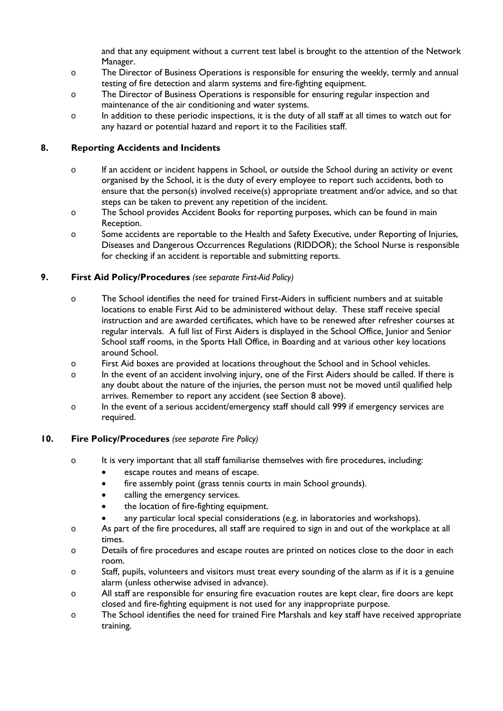and that any equipment without a current test label is brought to the attention of the Network Manager.

- o The Director of Business Operations is responsible for ensuring the weekly, termly and annual testing of fire detection and alarm systems and fire-fighting equipment.
- o The Director of Business Operations is responsible for ensuring regular inspection and maintenance of the air conditioning and water systems.
- o In addition to these periodic inspections, it is the duty of all staff at all times to watch out for any hazard or potential hazard and report it to the Facilities staff.

### **8. Reporting Accidents and Incidents**

- o If an accident or incident happens in School, or outside the School during an activity or event organised by the School, it is the duty of every employee to report such accidents, both to ensure that the person(s) involved receive(s) appropriate treatment and/or advice, and so that steps can be taken to prevent any repetition of the incident.
- o The School provides Accident Books for reporting purposes, which can be found in main Reception.
- o Some accidents are reportable to the Health and Safety Executive, under Reporting of Injuries, Diseases and Dangerous Occurrences Regulations (RIDDOR); the School Nurse is responsible for checking if an accident is reportable and submitting reports.

# **9. First Aid Policy/Procedures** *(see separate First-Aid Policy)*

- o The School identifies the need for trained First-Aiders in sufficient numbers and at suitable locations to enable First Aid to be administered without delay. These staff receive special instruction and are awarded certificates, which have to be renewed after refresher courses at regular intervals. A full list of First Aiders is displayed in the School Office, Junior and Senior School staff rooms, in the Sports Hall Office, in Boarding and at various other key locations around School.
- o First Aid boxes are provided at locations throughout the School and in School vehicles.
- o In the event of an accident involving injury, one of the First Aiders should be called. If there is any doubt about the nature of the injuries, the person must not be moved until qualified help arrives. Remember to report any accident (see Section 8 above).
- o In the event of a serious accident/emergency staff should call 999 if emergency services are required.

### **10. Fire Policy/Procedures** *(see separate Fire Policy)*

- o It is very important that all staff familiarise themselves with fire procedures, including:
	- escape routes and means of escape.
	- fire assembly point (grass tennis courts in main School grounds).
	- calling the emergency services.
	- the location of fire-fighting equipment.
	- any particular local special considerations (e.g. in laboratories and workshops).
- o As part of the fire procedures, all staff are required to sign in and out of the workplace at all times.
- o Details of fire procedures and escape routes are printed on notices close to the door in each room.
- o Staff, pupils, volunteers and visitors must treat every sounding of the alarm as if it is a genuine alarm (unless otherwise advised in advance).
- o All staff are responsible for ensuring fire evacuation routes are kept clear, fire doors are kept closed and fire-fighting equipment is not used for any inappropriate purpose.
- o The School identifies the need for trained Fire Marshals and key staff have received appropriate training.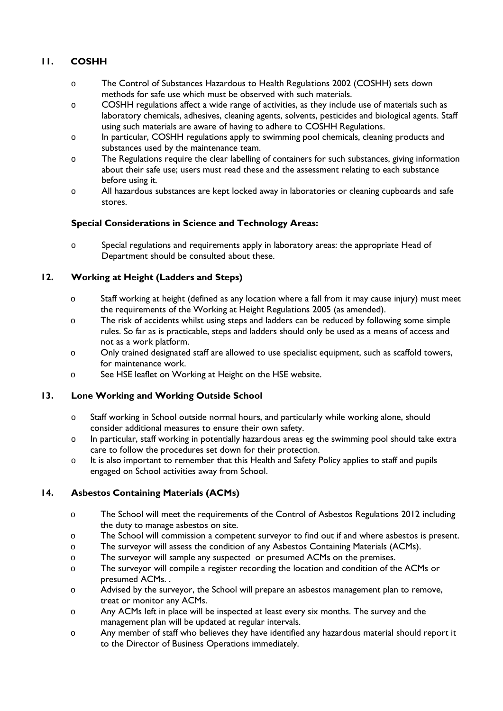# **11. COSHH**

- o The Control of Substances Hazardous to Health Regulations 2002 (COSHH) sets down methods for safe use which must be observed with such materials.
- o COSHH regulations affect a wide range of activities, as they include use of materials such as laboratory chemicals, adhesives, cleaning agents, solvents, pesticides and biological agents. Staff using such materials are aware of having to adhere to COSHH Regulations.
- o In particular, COSHH regulations apply to swimming pool chemicals, cleaning products and substances used by the maintenance team.
- o The Regulations require the clear labelling of containers for such substances, giving information about their safe use; users must read these and the assessment relating to each substance before using it*.*
- o All hazardous substances are kept locked away in laboratories or cleaning cupboards and safe stores.

### **Special Considerations in Science and Technology Areas:**

o Special regulations and requirements apply in laboratory areas: the appropriate Head of Department should be consulted about these.

# **12. Working at Height (Ladders and Steps)**

- o Staff working at height (defined as any location where a fall from it may cause injury) must meet the requirements of the Working at Height Regulations 2005 (as amended).
- o The risk of accidents whilst using steps and ladders can be reduced by following some simple rules. So far as is practicable, steps and ladders should only be used as a means of access and not as a work platform.
- o Only trained designated staff are allowed to use specialist equipment, such as scaffold towers, for maintenance work.
- o See HSE leaflet on Working at Height on the HSE website.

# **13. Lone Working and Working Outside School**

- o Staff working in School outside normal hours, and particularly while working alone, should consider additional measures to ensure their own safety.
- o In particular, staff working in potentially hazardous areas eg the swimming pool should take extra care to follow the procedures set down for their protection.
- o It is also important to remember that this Health and Safety Policy applies to staff and pupils engaged on School activities away from School.

# **14. Asbestos Containing Materials (ACMs)**

- o The School will meet the requirements of the Control of Asbestos Regulations 2012 including the duty to manage asbestos on site.
- o The School will commission a competent surveyor to find out if and where asbestos is present.
- o The surveyor will assess the condition of any Asbestos Containing Materials (ACMs).
- o The surveyor will sample any suspected or presumed ACMs on the premises.
- o The surveyor will compile a register recording the location and condition of the ACMs or presumed ACMs. .
- o Advised by the surveyor, the School will prepare an asbestos management plan to remove, treat or monitor any ACMs.
- o Any ACMs left in place will be inspected at least every six months. The survey and the management plan will be updated at regular intervals.
- o Any member of staff who believes they have identified any hazardous material should report it to the Director of Business Operations immediately.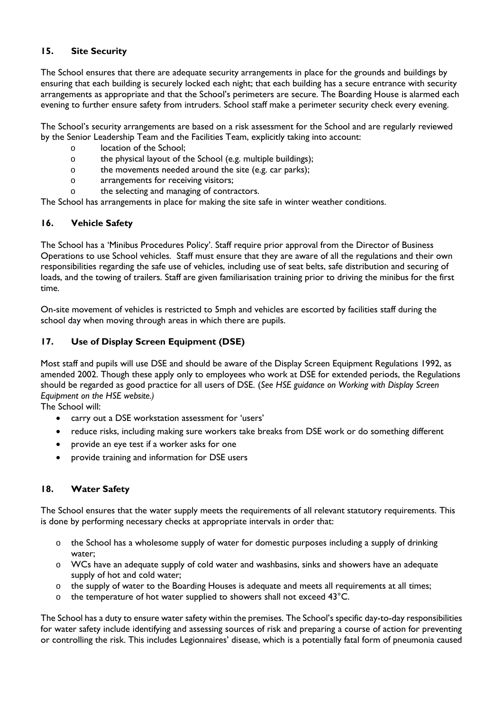### **15. Site Security**

The School ensures that there are adequate security arrangements in place for the grounds and buildings by ensuring that each building is securely locked each night; that each building has a secure entrance with security arrangements as appropriate and that the School's perimeters are secure. The Boarding House is alarmed each evening to further ensure safety from intruders. School staff make a perimeter security check every evening.

The School's security arrangements are based on a risk assessment for the School and are regularly reviewed by the Senior Leadership Team and the Facilities Team, explicitly taking into account:

- o location of the School;
- o the physical layout of the School (e.g. multiple buildings);
- o the movements needed around the site (e.g. car parks);
- o arrangements for receiving visitors;
- o the selecting and managing of contractors.

The School has arrangements in place for making the site safe in winter weather conditions.

### **16. Vehicle Safety**

The School has a 'Minibus Procedures Policy'. Staff require prior approval from the Director of Business Operations to use School vehicles. Staff must ensure that they are aware of all the regulations and their own responsibilities regarding the safe use of vehicles, including use of seat belts, safe distribution and securing of loads, and the towing of trailers. Staff are given familiarisation training prior to driving the minibus for the first time.

On-site movement of vehicles is restricted to 5mph and vehicles are escorted by facilities staff during the school day when moving through areas in which there are pupils.

### **17. Use of Display Screen Equipment (DSE)**

Most staff and pupils will use DSE and should be aware of the Display Screen Equipment Regulations 1992, as amended 2002. Though these apply only to employees who work at DSE for extended periods, the Regulations should be regarded as good practice for all users of DSE. (*See HSE guidance on Working with Display Screen Equipment on the HSE website.)*

The School will:

- carry out a DSE workstation assessment for 'users'
- reduce risks, including making sure workers take breaks from DSE work or do something different
- provide an eye test if a worker asks for one
- provide training and information for DSE users

### **18. Water Safety**

The School ensures that the water supply meets the requirements of all relevant statutory requirements. This is done by performing necessary checks at appropriate intervals in order that:

- o the School has a wholesome supply of water for domestic purposes including a supply of drinking water;
- o WCs have an adequate supply of cold water and washbasins, sinks and showers have an adequate supply of hot and cold water;
- o the supply of water to the Boarding Houses is adequate and meets all requirements at all times;
- o the temperature of hot water supplied to showers shall not exceed 43°C.

The School has a duty to ensure water safety within the premises. The School's specific day-to-day responsibilities for water safety include identifying and assessing sources of risk and preparing a course of action for preventing or controlling the risk. This includes Legionnaires' disease, which is a potentially fatal form of pneumonia caused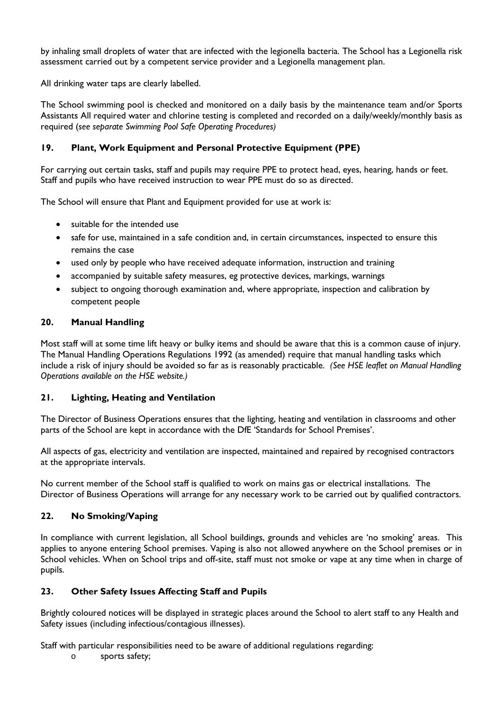by inhaling small droplets of water that are infected with the legionella bacteria. The School has a Legionella risk assessment carried out by a competent service provider and a Legionella management plan.

All drinking water taps are clearly labelled.

The School swimming pool is checked and monitored on a daily basis by the maintenance team and/or Sports Assistants All required water and chlorine testing is completed and recorded on a daily/weekly/monthly basis as required (*see separate Swimming Pool Safe Operating Procedures)*

# **19. Plant, Work Equipment and Personal Protective Equipment (PPE)**

For carrying out certain tasks, staff and pupils may require PPE to protect head, eyes, hearing, hands or feet. Staff and pupils who have received instruction to wear PPE must do so as directed.

The School will ensure that Plant and Equipment provided for use at work is:

- suitable for the intended use
- safe for use, maintained in a safe condition and, in certain circumstances, inspected to ensure this remains the case
- used only by people who have received adequate information, instruction and training
- accompanied by suitable safety measures, eg protective devices, markings, warnings
- subject to ongoing thorough examination and, where appropriate, inspection and calibration by competent people

### **20. Manual Handling**

Most staff will at some time lift heavy or bulky items and should be aware that this is a common cause of injury. The Manual Handling Operations Regulations 1992 (as amended) require that manual handling tasks which include a risk of injury should be avoided so far as is reasonably practicable. *(See HSE leaflet on Manual Handling Operations available on the HSE website.)*

### **21. Lighting, Heating and Ventilation**

The Director of Business Operations ensures that the lighting, heating and ventilation in classrooms and other parts of the School are kept in accordance with the DfE 'Standards for School Premises'.

All aspects of gas, electricity and ventilation are inspected, maintained and repaired by recognised contractors at the appropriate intervals.

No current member of the School staff is qualified to work on mains gas or electrical installations. The Director of Business Operations will arrange for any necessary work to be carried out by qualified contractors.

### **22. No Smoking/Vaping**

In compliance with current legislation, all School buildings, grounds and vehicles are 'no smoking' areas. This applies to anyone entering School premises. Vaping is also not allowed anywhere on the School premises or in School vehicles. When on School trips and off-site, staff must not smoke or vape at any time when in charge of pupils.

# **23. Other Safety Issues Affecting Staff and Pupils**

Brightly coloured notices will be displayed in strategic places around the School to alert staff to any Health and Safety issues (including infectious/contagious illnesses).

Staff with particular responsibilities need to be aware of additional regulations regarding:

o sports safety;